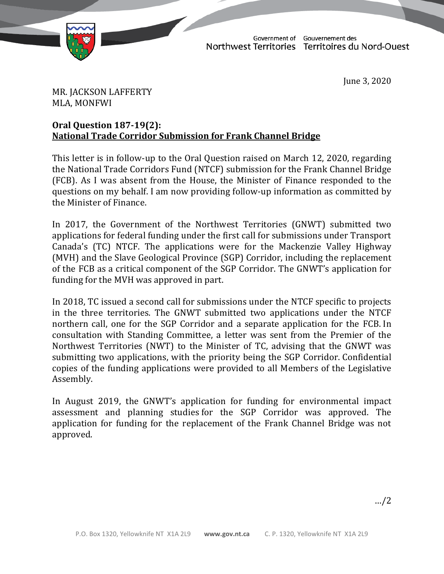

TD 126-19(2) TABLED ON JUNE 3, 2020

Government of Gouvernement des<br>Northwest Territories Territoires du Nord-Ouest

June 3, 2020

MR. JACKSON LAFFERTY MLA, MONFWI

## **Oral Question 187-19(2): National Trade Corridor Submission for Frank Channel Bridge**

This letter is in follow-up to the Oral Question raised on March 12, 2020, regarding the National Trade Corridors Fund (NTCF) submission for the Frank Channel Bridge (FCB). As I was absent from the House, the Minister of Finance responded to the questions on my behalf. I am now providing follow-up information as committed by the Minister of Finance.

In 2017, the Government of the Northwest Territories (GNWT) submitted two applications for federal funding under the first call for submissions under Transport Canada's (TC) NTCF. The applications were for the Mackenzie Valley Highway (MVH) and the Slave Geological Province (SGP) Corridor, including the replacement of the FCB as a critical component of the SGP Corridor. The GNWT's application for funding for the MVH was approved in part.

In 2018, TC issued a second call for submissions under the NTCF specific to projects in the three territories. The GNWT submitted two applications under the NTCF northern call, one for the SGP Corridor and a separate application for the FCB. In consultation with Standing Committee, a letter was sent from the Premier of the Northwest Territories (NWT) to the Minister of TC, advising that the GNWT was submitting two applications, with the priority being the SGP Corridor. Confidential copies of the funding applications were provided to all Members of the Legislative Assembly.

In August 2019, the GNWT's application for funding for environmental impact assessment and planning studies for the SGP Corridor was approved. The application for funding for the replacement of the Frank Channel Bridge was not approved.